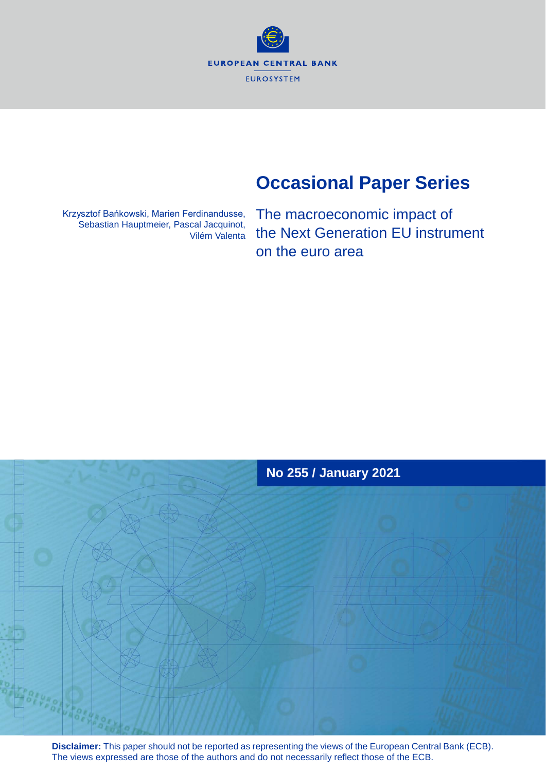**EUROPEAN CENTRAL BANK EUROSYSTEM** 

# **Occasional Paper Series**

Krzysztof Bańkowski, Marien Ferdinandusse, Sebastian Hauptmeier, Pascal Jacquinot, Vilém Valenta The macroeconomic impact of the Next Generation EU instrument on the euro area



**Disclaimer:** This paper should not be reported as representing the views of the European Central Bank (ECB). The views expressed are those of the authors and do not necessarily reflect those of the ECB.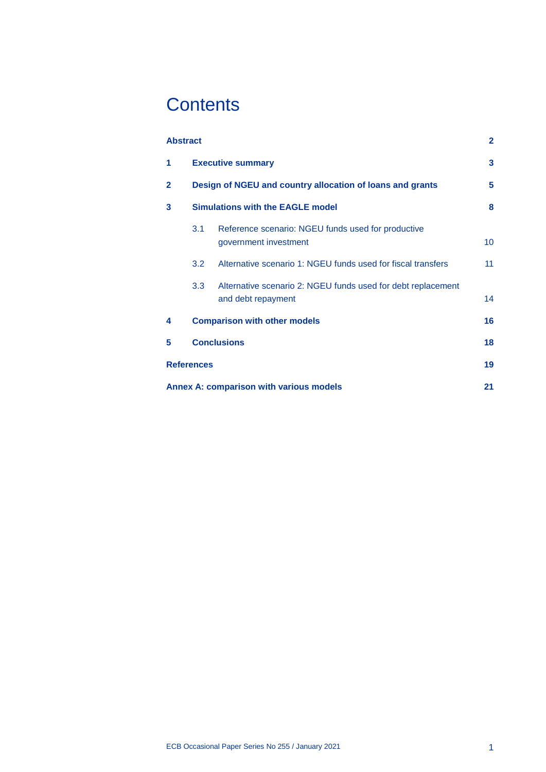# **Contents**

| <b>Abstract</b>                         |                                                           |                                                                                    | $\overline{2}$ |  |  |  |
|-----------------------------------------|-----------------------------------------------------------|------------------------------------------------------------------------------------|----------------|--|--|--|
| 1                                       | <b>Executive summary</b>                                  |                                                                                    |                |  |  |  |
| $\mathbf{2}$                            | Design of NGEU and country allocation of loans and grants |                                                                                    |                |  |  |  |
| 3                                       | <b>Simulations with the EAGLE model</b>                   |                                                                                    |                |  |  |  |
|                                         | 3.1                                                       | Reference scenario: NGEU funds used for productive<br>government investment        | 10             |  |  |  |
|                                         | 3.2                                                       | Alternative scenario 1: NGEU funds used for fiscal transfers                       | 11             |  |  |  |
|                                         | 3.3 <sub>1</sub>                                          | Alternative scenario 2: NGEU funds used for debt replacement<br>and debt repayment | 14             |  |  |  |
| 4                                       |                                                           | <b>Comparison with other models</b>                                                | 16             |  |  |  |
| 5                                       | <b>Conclusions</b>                                        |                                                                                    |                |  |  |  |
| <b>References</b>                       |                                                           |                                                                                    |                |  |  |  |
| Annex A: comparison with various models |                                                           |                                                                                    |                |  |  |  |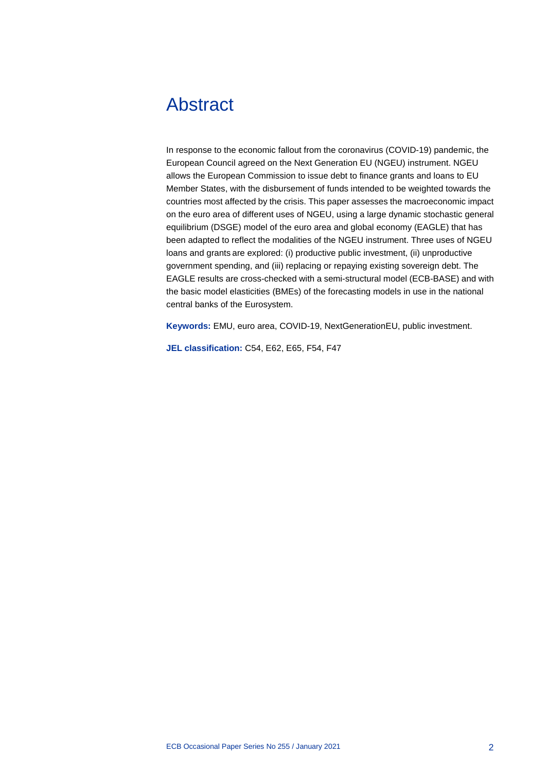# <span id="page-2-0"></span>Abstract

In response to the economic fallout from the coronavirus (COVID-19) pandemic, the European Council agreed on the Next Generation EU (NGEU) instrument. NGEU allows the European Commission to issue debt to finance grants and loans to EU Member States, with the disbursement of funds intended to be weighted towards the countries most affected by the crisis. This paper assesses the macroeconomic impact on the euro area of different uses of NGEU, using a large dynamic stochastic general equilibrium (DSGE) model of the euro area and global economy (EAGLE) that has been adapted to reflect the modalities of the NGEU instrument. Three uses of NGEU loans and grants are explored: (i) productive public investment, (ii) unproductive government spending, and (iii) replacing or repaying existing sovereign debt. The EAGLE results are cross-checked with a semi-structural model (ECB-BASE) and with the basic model elasticities (BMEs) of the forecasting models in use in the national central banks of the Eurosystem.

**Keywords:** EMU, euro area, COVID-19, NextGenerationEU, public investment.

**JEL classification:** C54, E62, E65, F54, F47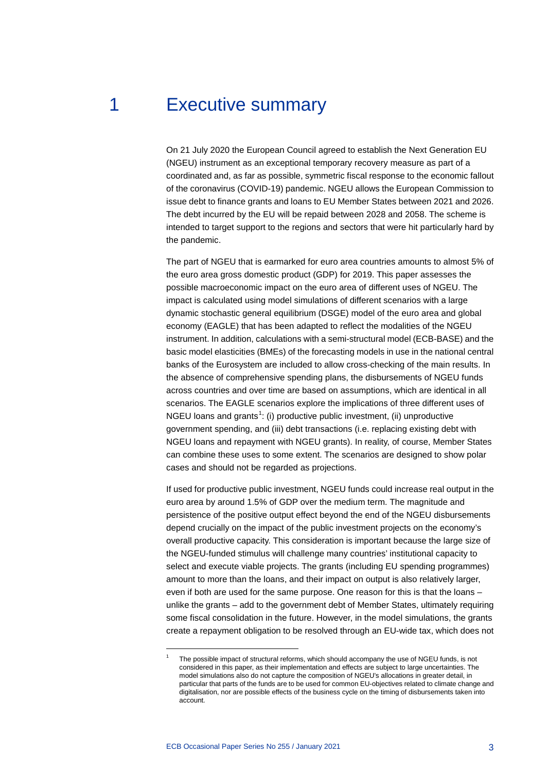# 1 Executive summary

<span id="page-3-0"></span>On 21 July 2020 the European Council agreed to establish the Next Generation EU (NGEU) instrument as an exceptional temporary recovery measure as part of a coordinated and, as far as possible, symmetric fiscal response to the economic fallout of the coronavirus (COVID-19) pandemic. NGEU allows the European Commission to issue debt to finance grants and loans to EU Member States between 2021 and 2026. The debt incurred by the EU will be repaid between 2028 and 2058. The scheme is intended to target support to the regions and sectors that were hit particularly hard by the pandemic.

The part of NGEU that is earmarked for euro area countries amounts to almost 5% of the euro area gross domestic product (GDP) for 2019. This paper assesses the possible macroeconomic impact on the euro area of different uses of NGEU. The impact is calculated using model simulations of different scenarios with a large dynamic stochastic general equilibrium (DSGE) model of the euro area and global economy (EAGLE) that has been adapted to reflect the modalities of the NGEU instrument. In addition, calculations with a semi-structural model (ECB-BASE) and the basic model elasticities (BMEs) of the forecasting models in use in the national central banks of the Eurosystem are included to allow cross-checking of the main results. In the absence of comprehensive spending plans, the disbursements of NGEU funds across countries and over time are based on assumptions, which are identical in all scenarios. The EAGLE scenarios explore the implications of three different uses of NGEU loans and grants<sup>[1](#page-3-1)</sup>: (i) productive public investment, (ii) unproductive government spending, and (iii) debt transactions (i.e. replacing existing debt with NGEU loans and repayment with NGEU grants). In reality, of course, Member States can combine these uses to some extent. The scenarios are designed to show polar cases and should not be regarded as projections.

If used for productive public investment, NGEU funds could increase real output in the euro area by around 1.5% of GDP over the medium term. The magnitude and persistence of the positive output effect beyond the end of the NGEU disbursements depend crucially on the impact of the public investment projects on the economy's overall productive capacity. This consideration is important because the large size of the NGEU-funded stimulus will challenge many countries' institutional capacity to select and execute viable projects. The grants (including EU spending programmes) amount to more than the loans, and their impact on output is also relatively larger, even if both are used for the same purpose. One reason for this is that the loans – unlike the grants – add to the government debt of Member States, ultimately requiring some fiscal consolidation in the future. However, in the model simulations, the grants create a repayment obligation to be resolved through an EU-wide tax, which does not

<span id="page-3-1"></span>The possible impact of structural reforms, which should accompany the use of NGEU funds, is not considered in this paper, as their implementation and effects are subject to large uncertainties. The model simulations also do not capture the composition of NGEU's allocations in greater detail, in particular that parts of the funds are to be used for common EU-objectives related to climate change and digitalisation, nor are possible effects of the business cycle on the timing of disbursements taken into account.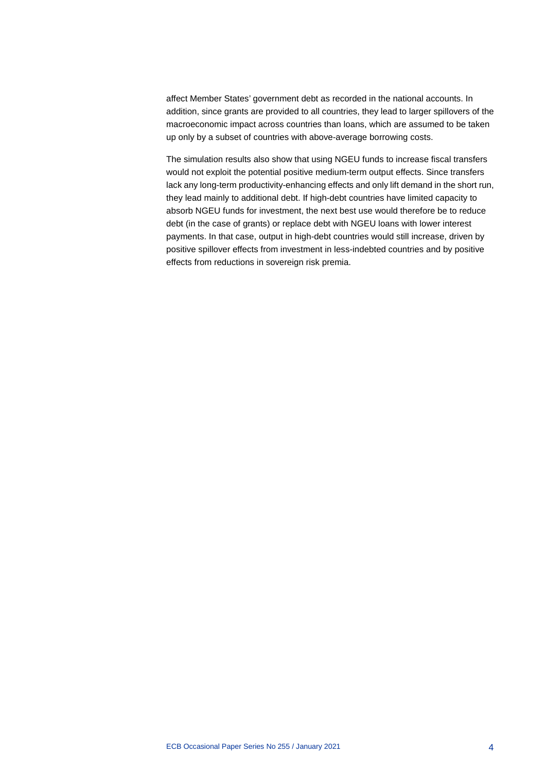affect Member States' government debt as recorded in the national accounts. In addition, since grants are provided to all countries, they lead to larger spillovers of the macroeconomic impact across countries than loans, which are assumed to be taken up only by a subset of countries with above-average borrowing costs.

The simulation results also show that using NGEU funds to increase fiscal transfers would not exploit the potential positive medium-term output effects. Since transfers lack any long-term productivity-enhancing effects and only lift demand in the short run, they lead mainly to additional debt. If high-debt countries have limited capacity to absorb NGEU funds for investment, the next best use would therefore be to reduce debt (in the case of grants) or replace debt with NGEU loans with lower interest payments. In that case, output in high-debt countries would still increase, driven by positive spillover effects from investment in less-indebted countries and by positive effects from reductions in sovereign risk premia.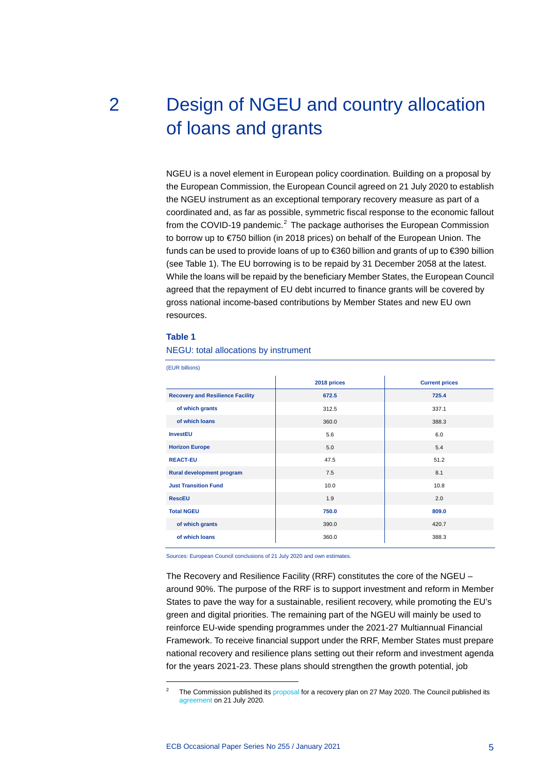<span id="page-5-0"></span>

# 2 Design of NGEU and country allocation of loans and grants

NGEU is a novel element in European policy coordination. Building on a proposal by the European Commission, the European Council agreed on 21 July 2020 to establish the NGEU instrument as an exceptional temporary recovery measure as part of a coordinated and, as far as possible, symmetric fiscal response to the economic fallout from the COVID-19 pandemic.<sup>[2](#page-5-1)</sup> The package authorises the European Commission to borrow up to €750 billion (in 2018 prices) on behalf of the European Union. The funds can be used to provide loans of up to €360 billion and grants of up to €390 billion (see Table 1). The EU borrowing is to be repaid by 31 December 2058 at the latest. While the loans will be repaid by the beneficiary Member States, the European Council agreed that the repayment of EU debt incurred to finance grants will be covered by gross national income-based contributions by Member States and new EU own resources.

### **Table 1**

<span id="page-5-1"></span>-

NEGU: total allocations by instrument

| (EUR billions)                          |             |                       |  |  |  |  |  |
|-----------------------------------------|-------------|-----------------------|--|--|--|--|--|
|                                         | 2018 prices | <b>Current prices</b> |  |  |  |  |  |
| <b>Recovery and Resilience Facility</b> | 672.5       | 725.4                 |  |  |  |  |  |
| of which grants                         | 312.5       | 337.1                 |  |  |  |  |  |
| of which loans                          | 360.0       | 388.3                 |  |  |  |  |  |
| <b>InvestEU</b>                         | 5.6         | 6.0                   |  |  |  |  |  |
| <b>Horizon Europe</b>                   | 5.0         | 5.4                   |  |  |  |  |  |
| <b>REACT-EU</b>                         | 47.5        | 51.2                  |  |  |  |  |  |
| Rural development program               | 7.5         | 8.1                   |  |  |  |  |  |
| <b>Just Transition Fund</b>             | 10.0        | 10.8                  |  |  |  |  |  |
| <b>RescEU</b>                           | 1.9         | 2.0                   |  |  |  |  |  |
| <b>Total NGEU</b>                       | 750.0       | 809.0                 |  |  |  |  |  |
| of which grants                         | 390.0       | 420.7                 |  |  |  |  |  |
| of which loans                          | 360.0       | 388.3                 |  |  |  |  |  |

Sources: European Council conclusions of 21 July 2020 and own estimates.

The Recovery and Resilience Facility (RRF) constitutes the core of the NGEU – around 90%. The purpose of the RRF is to support investment and reform in Member States to pave the way for a sustainable, resilient recovery, while promoting the EU's green and digital priorities. The remaining part of the NGEU will mainly be used to reinforce EU-wide spending programmes under the 2021-27 Multiannual Financial Framework. To receive financial support under the RRF, Member States must prepare national recovery and resilience plans setting out their reform and investment agenda for the years 2021-23. These plans should strengthen the growth potential, job

The Commission published its [proposal](https://ec.europa.eu/info/sites/info/files/factsheet_1_en.pdf) for a recovery plan on 27 May 2020. The Council published its [agreement](https://www.consilium.europa.eu/media/45109/210720-euco-final-conclusions-en.pdf) on 21 July 2020.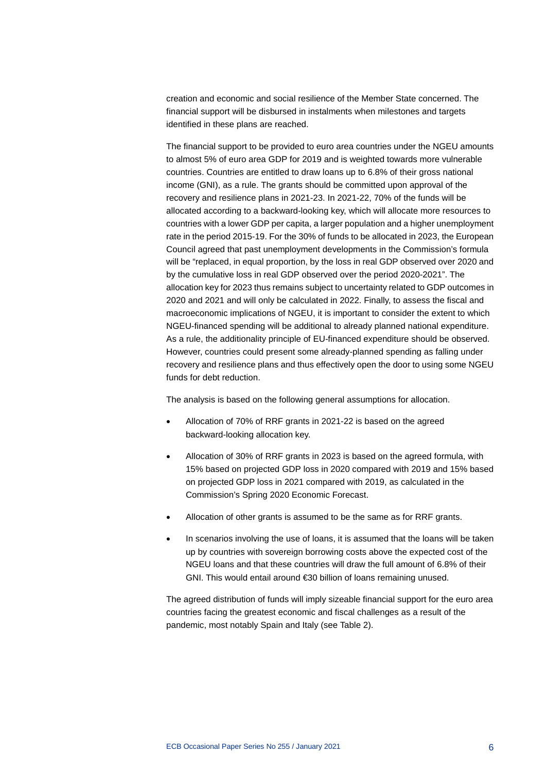creation and economic and social resilience of the Member State concerned. The financial support will be disbursed in instalments when milestones and targets identified in these plans are reached.

The financial support to be provided to euro area countries under the NGEU amounts to almost 5% of euro area GDP for 2019 and is weighted towards more vulnerable countries. Countries are entitled to draw loans up to 6.8% of their gross national income (GNI), as a rule. The grants should be committed upon approval of the recovery and resilience plans in 2021-23. In 2021-22, 70% of the funds will be allocated according to a backward-looking key, which will allocate more resources to countries with a lower GDP per capita, a larger population and a higher unemployment rate in the period 2015-19. For the 30% of funds to be allocated in 2023, the European Council agreed that past unemployment developments in the Commission's formula will be "replaced, in equal proportion, by the loss in real GDP observed over 2020 and by the cumulative loss in real GDP observed over the period 2020-2021". The allocation key for 2023 thus remains subject to uncertainty related to GDP outcomes in 2020 and 2021 and will only be calculated in 2022. Finally, to assess the fiscal and macroeconomic implications of NGEU, it is important to consider the extent to which NGEU-financed spending will be additional to already planned national expenditure. As a rule, the additionality principle of EU-financed expenditure should be observed. However, countries could present some already-planned spending as falling under recovery and resilience plans and thus effectively open the door to using some NGEU funds for debt reduction.

The analysis is based on the following general assumptions for allocation.

- Allocation of 70% of RRF grants in 2021-22 is based on the agreed backward-looking allocation key.
- Allocation of 30% of RRF grants in 2023 is based on the agreed formula, with 15% based on projected GDP loss in 2020 compared with 2019 and 15% based on projected GDP loss in 2021 compared with 2019, as calculated in the Commission's Spring 2020 Economic Forecast.
- Allocation of other grants is assumed to be the same as for RRF grants.
- In scenarios involving the use of loans, it is assumed that the loans will be taken up by countries with sovereign borrowing costs above the expected cost of the NGEU loans and that these countries will draw the full amount of 6.8% of their GNI. This would entail around €30 billion of loans remaining unused.

The agreed distribution of funds will imply sizeable financial support for the euro area countries facing the greatest economic and fiscal challenges as a result of the pandemic, most notably Spain and Italy (see Table 2).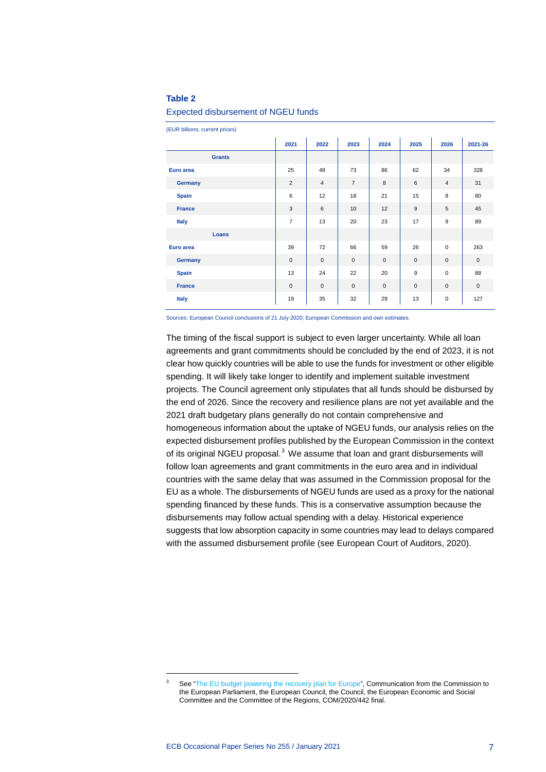### **Table 2**

### Expected disbursement of NGEU funds

(EUR billions; current prices)

|               | 2021           | 2022           | 2023           | 2024         | 2025         | 2026           | 2021-26      |
|---------------|----------------|----------------|----------------|--------------|--------------|----------------|--------------|
| <b>Grants</b> |                |                |                |              |              |                |              |
| Euro area     | 25             | 48             | 73             | 86           | 62           | 34             | 328          |
| Germany       | 2              | $\overline{4}$ | $\overline{7}$ | 8            | 6            | $\overline{4}$ | 31           |
| <b>Spain</b>  | 6              | 12             | 18             | 21           | 15           | 8              | 80           |
| <b>France</b> | 3              | 6              | 10             | 12           | 9            | $\sqrt{5}$     | 45           |
| <b>Italy</b>  | $\overline{7}$ | 13             | 20             | 23           | 17           | 9              | 89           |
| Loans         |                |                |                |              |              |                |              |
| Euro area     | 39             | 72             | 66             | 59           | 26           | $\mathbf 0$    | 263          |
| Germany       | $\mathbf 0$    | $\mathbf 0$    | $\mathbf 0$    | $\mathbf{0}$ | $\mathbf{0}$ | $\mathbf 0$    | $\mathbf{0}$ |
| <b>Spain</b>  | 13             | 24             | 22             | 20           | 9            | $\mathbf 0$    | 88           |
| <b>France</b> | $\mathbf{0}$   | $\mathbf{0}$   | $\mathbf 0$    | $\mathbf{0}$ | $\mathbf{0}$ | $\mathbf 0$    | $\mathbf{0}$ |
| <b>Italy</b>  | 19             | 35             | 32             | 29           | 13           | $\mathbf 0$    | 127          |

Sources: European Council conclusions of 21 July 2020; European Commission and own estimates.

The timing of the fiscal support is subject to even larger uncertainty. While all loan agreements and grant commitments should be concluded by the end of 2023, it is not clear how quickly countries will be able to use the funds for investment or other eligible spending. It will likely take longer to identify and implement suitable investment projects. The Council agreement only stipulates that all funds should be disbursed by the end of 2026. Since the recovery and resilience plans are not yet available and the 2021 draft budgetary plans generally do not contain comprehensive and homogeneous information about the uptake of NGEU funds, our analysis relies on the expected disbursement profiles published by the European Commission in the context of its original NGEU proposal.<sup>[3](#page-7-0)</sup> We assume that loan and grant disbursements will follow loan agreements and grant commitments in the euro area and in individual countries with the same delay that was assumed in the Commission proposal for the EU as a whole. The disbursements of NGEU funds are used as a proxy for the national spending financed by these funds. This is a conservative assumption because the disbursements may follow actual spending with a delay. Historical experience suggests that low absorption capacity in some countries may lead to delays compared with the assumed disbursement profile (see European Court of Auditors, 2020).

<span id="page-7-0"></span>See ["The EU budget powering the recovery plan for Europe",](https://eur-lex.europa.eu/legal-content/EN/TXT/?uri=COM:2020:442:FIN) Communication from the Commission to the European Parliament, the European Council, the Council, the European Economic and Social Committee and the Committee of the Regions, COM/2020/442 final.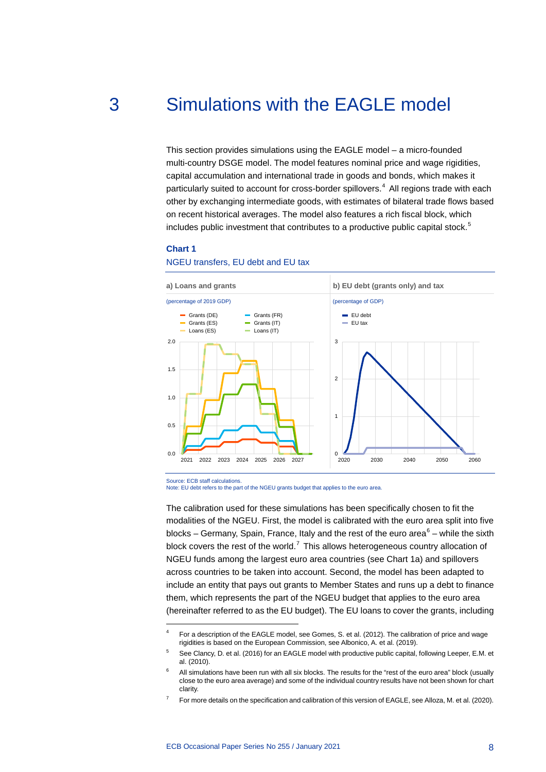# 3 Simulations with the EAGLE model

<span id="page-8-0"></span>This section provides simulations using the EAGLE model – a micro-founded multi-country DSGE model. The model features nominal price and wage rigidities, capital accumulation and international trade in goods and bonds, which makes it particularly suited to account for cross-border spillovers.<sup>[4](#page-8-1)</sup> All regions trade with each other by exchanging intermediate goods, with estimates of bilateral trade flows based on recent historical averages. The model also features a rich fiscal block, which includes public investment that contributes to a productive public capital stock.<sup>[5](#page-8-2)</sup>

### **Chart 1**

-

### NGEU transfers, EU debt and EU tax



### Note: EU debt refers to the part of the NGEU grants budget that applies to the euro area.

The calibration used for these simulations has been specifically chosen to fit the modalities of the NGEU. First, the model is calibrated with the euro area split into five blocks – Germany, Spain, France, Italy and the rest of the euro area $6 6 -$  while the sixth block covers the rest of the world.<sup>[7](#page-8-4)</sup> This allows heterogeneous country allocation of NGEU funds among the largest euro area countries (see Chart 1a) and spillovers across countries to be taken into account. Second, the model has been adapted to include an entity that pays out grants to Member States and runs up a debt to finance them, which represents the part of the NGEU budget that applies to the euro area (hereinafter referred to as the EU budget). The EU loans to cover the grants, including

<span id="page-8-1"></span><sup>4</sup> For a description of the EAGLE model, see Gomes, S. et al. (2012). The calibration of price and wage rigidities is based on the European Commission, see Albonico, A. et al. (2019).

<span id="page-8-2"></span><sup>5</sup> See Clancy, D. et al. (2016) for an EAGLE model with productive public capital, following Leeper, E.M. et al. (2010).

<span id="page-8-3"></span> $6$  All simulations have been run with all six blocks. The results for the "rest of the euro area" block (usually close to the euro area average) and some of the individual country results have not been shown for chart clarity.

<span id="page-8-4"></span>For more details on the specification and calibration of this version of EAGLE, see Alloza, M. et al. (2020).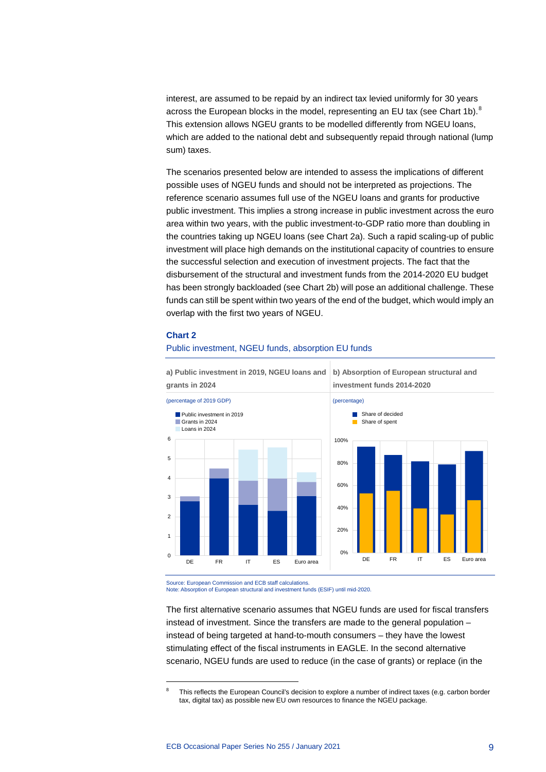interest, are assumed to be repaid by an indirect tax levied uniformly for 30 years across the European blocks in the model, representing an EU tax (see Chart 1b). $8$ This extension allows NGEU grants to be modelled differently from NGEU loans, which are added to the national debt and subsequently repaid through national (lump sum) taxes.

The scenarios presented below are intended to assess the implications of different possible uses of NGEU funds and should not be interpreted as projections. The reference scenario assumes full use of the NGEU loans and grants for productive public investment. This implies a strong increase in public investment across the euro area within two years, with the public investment-to-GDP ratio more than doubling in the countries taking up NGEU loans (see Chart 2a). Such a rapid scaling-up of public investment will place high demands on the institutional capacity of countries to ensure the successful selection and execution of investment projects. The fact that the disbursement of the structural and investment funds from the 2014-2020 EU budget has been strongly backloaded (see Chart 2b) will pose an additional challenge. These funds can still be spent within two years of the end of the budget, which would imply an overlap with the first two years of NGEU.

### **Chart 2**

<span id="page-9-0"></span>-

### Public investment, NGEU funds, absorption EU funds



**a) Public investment in 2019, NGEU loans and b) Absorption of European structural and** 

Source: European Commission and ECB staff calculations.

Note: Absorption of European structural and investment funds (ESIF) until mid-2020.

The first alternative scenario assumes that NGEU funds are used for fiscal transfers instead of investment. Since the transfers are made to the general population – instead of being targeted at hand-to-mouth consumers – they have the lowest stimulating effect of the fiscal instruments in EAGLE. In the second alternative scenario, NGEU funds are used to reduce (in the case of grants) or replace (in the

This reflects the European Council's decision to explore a number of indirect taxes (e.g. carbon border tax, digital tax) as possible new EU own resources to finance the NGEU package.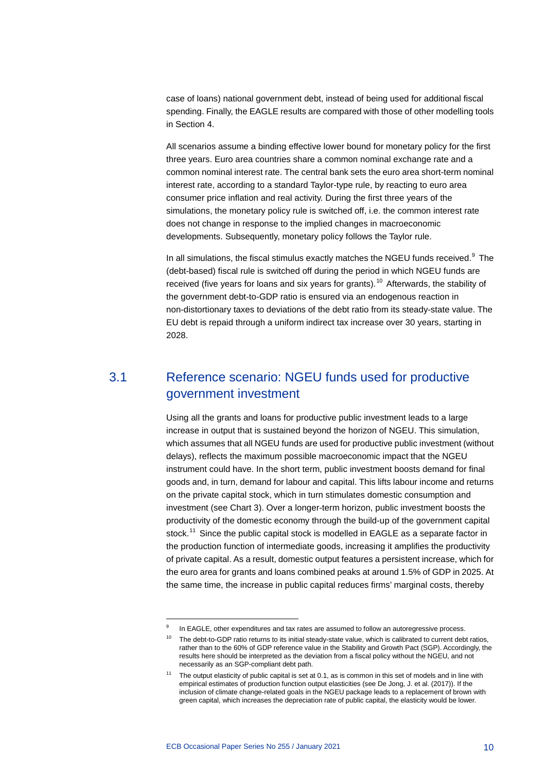case of loans) national government debt, instead of being used for additional fiscal spending. Finally, the EAGLE results are compared with those of other modelling tools in Section 4.

All scenarios assume a binding effective lower bound for monetary policy for the first three years. Euro area countries share a common nominal exchange rate and a common nominal interest rate. The central bank sets the euro area short-term nominal interest rate, according to a standard Taylor-type rule, by reacting to euro area consumer price inflation and real activity. During the first three years of the simulations, the monetary policy rule is switched off, i.e. the common interest rate does not change in response to the implied changes in macroeconomic developments. Subsequently, monetary policy follows the Taylor rule.

In all simulations, the fiscal stimulus exactly matches the NGEU funds received. $9$  The (debt-based) fiscal rule is switched off during the period in which NGEU funds are received (five years for loans and six years for grants).<sup>[10](#page-10-2)</sup> Afterwards, the stability of the government debt-to-GDP ratio is ensured via an endogenous reaction in non-distortionary taxes to deviations of the debt ratio from its steady-state value. The EU debt is repaid through a uniform indirect tax increase over 30 years, starting in 2028.

### <span id="page-10-0"></span>3.1 Reference scenario: NGEU funds used for productive government investment

Using all the grants and loans for productive public investment leads to a large increase in output that is sustained beyond the horizon of NGEU. This simulation, which assumes that all NGEU funds are used for productive public investment (without delays), reflects the maximum possible macroeconomic impact that the NGEU instrument could have. In the short term, public investment boosts demand for final goods and, in turn, demand for labour and capital. This lifts labour income and returns on the private capital stock, which in turn stimulates domestic consumption and investment (see Chart 3). Over a longer-term horizon, public investment boosts the productivity of the domestic economy through the build-up of the government capital stock.<sup>[11](#page-10-3)</sup> Since the public capital stock is modelled in EAGLE as a separate factor in the production function of intermediate goods, increasing it amplifies the productivity of private capital. As a result, domestic output features a persistent increase, which for the euro area for grants and loans combined peaks at around 1.5% of GDP in 2025. At the same time, the increase in public capital reduces firms' marginal costs, thereby

<span id="page-10-2"></span><span id="page-10-1"></span>In EAGLE, other expenditures and tax rates are assumed to follow an autoregressive process.

 $10$  The debt-to-GDP ratio returns to its initial steady-state value, which is calibrated to current debt ratios, rather than to the 60% of GDP reference value in the Stability and Growth Pact (SGP). Accordingly, the results here should be interpreted as the deviation from a fiscal policy without the NGEU, and not necessarily as an SGP-compliant debt path.

<span id="page-10-3"></span><sup>&</sup>lt;sup>11</sup> The output elasticity of public capital is set at 0.1, as is common in this set of models and in line with empirical estimates of production function output elasticities (see De Jong, J. et al. (2017)). If the inclusion of climate change-related goals in the NGEU package leads to a replacement of brown with green capital, which increases the depreciation rate of public capital, the elasticity would be lower.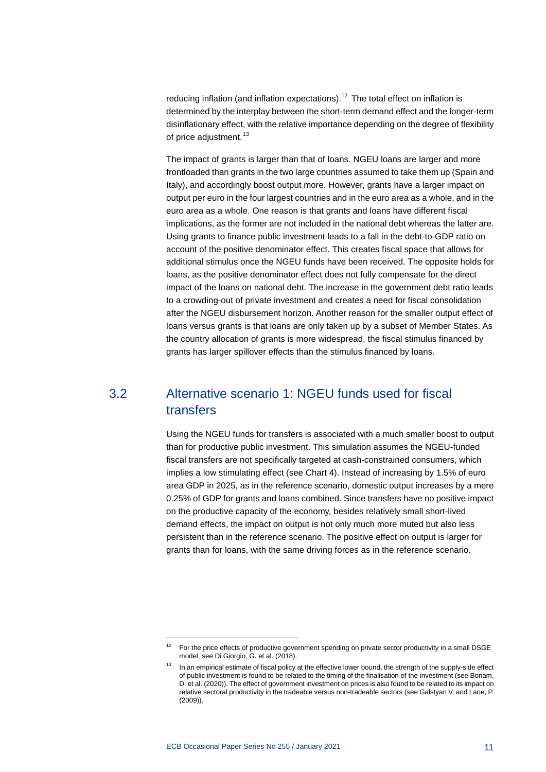reducing inflation (and inflation expectations).<sup>[12](#page-11-1)</sup> The total effect on inflation is determined by the interplay between the short-term demand effect and the longer-term disinflationary effect, with the relative importance depending on the degree of flexibility of price adjustment.<sup>[13](#page-11-2)</sup>

The impact of grants is larger than that of loans. NGEU loans are larger and more frontloaded than grants in the two large countries assumed to take them up (Spain and Italy), and accordingly boost output more. However, grants have a larger impact on output per euro in the four largest countries and in the euro area as a whole, and in the euro area as a whole. One reason is that grants and loans have different fiscal implications, as the former are not included in the national debt whereas the latter are. Using grants to finance public investment leads to a fall in the debt-to-GDP ratio on account of the positive denominator effect. This creates fiscal space that allows for additional stimulus once the NGEU funds have been received. The opposite holds for loans, as the positive denominator effect does not fully compensate for the direct impact of the loans on national debt. The increase in the government debt ratio leads to a crowding-out of private investment and creates a need for fiscal consolidation after the NGEU disbursement horizon. Another reason for the smaller output effect of loans versus grants is that loans are only taken up by a subset of Member States. As the country allocation of grants is more widespread, the fiscal stimulus financed by grants has larger spillover effects than the stimulus financed by loans.

### <span id="page-11-0"></span>3.2 Alternative scenario 1: NGEU funds used for fiscal transfers

Using the NGEU funds for transfers is associated with a much smaller boost to output than for productive public investment. This simulation assumes the NGEU-funded fiscal transfers are not specifically targeted at cash-constrained consumers, which implies a low stimulating effect (see Chart 4). Instead of increasing by 1.5% of euro area GDP in 2025, as in the reference scenario, domestic output increases by a mere 0.25% of GDP for grants and loans combined. Since transfers have no positive impact on the productive capacity of the economy, besides relatively small short-lived demand effects, the impact on output is not only much more muted but also less persistent than in the reference scenario. The positive effect on output is larger for grants than for loans, with the same driving forces as in the reference scenario.

<span id="page-11-2"></span><span id="page-11-1"></span><sup>12</sup> For the price effects of productive government spending on private sector productivity in a small DSGE model, see Di Giorgio, G. et al. (2018).

In an empirical estimate of fiscal policy at the effective lower bound, the strength of the supply-side effect of public investment is found to be related to the timing of the finalisation of the investment (see Bonam, D. et al. (2020)). The effect of government investment on prices is also found to be related to its impact on relative sectoral productivity in the tradeable versus non-tradeable sectors (see Galstyan V. and Lane, P. (2009)).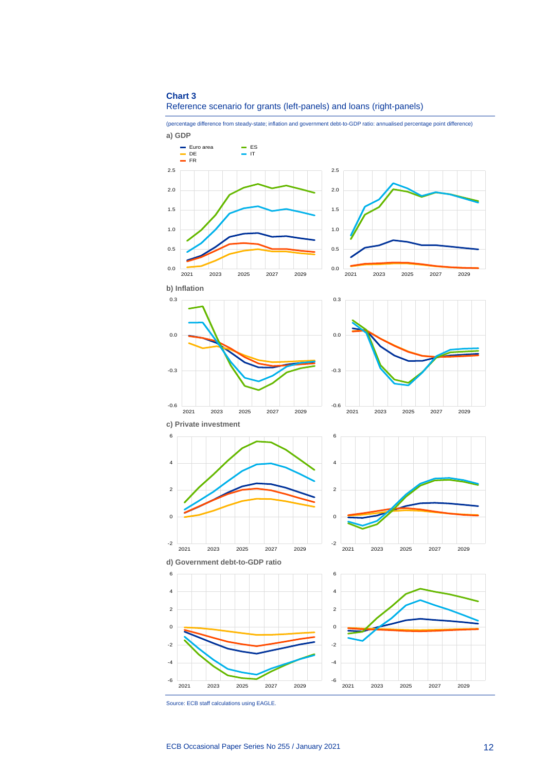### **Chart 3** Reference scenario for grants (left-panels) and loans (right-panels)

(percentage difference from steady-state; inflation and government debt-to-GDP ratio: annualised percentage point difference)



Source: ECB staff calculations using EAGLE.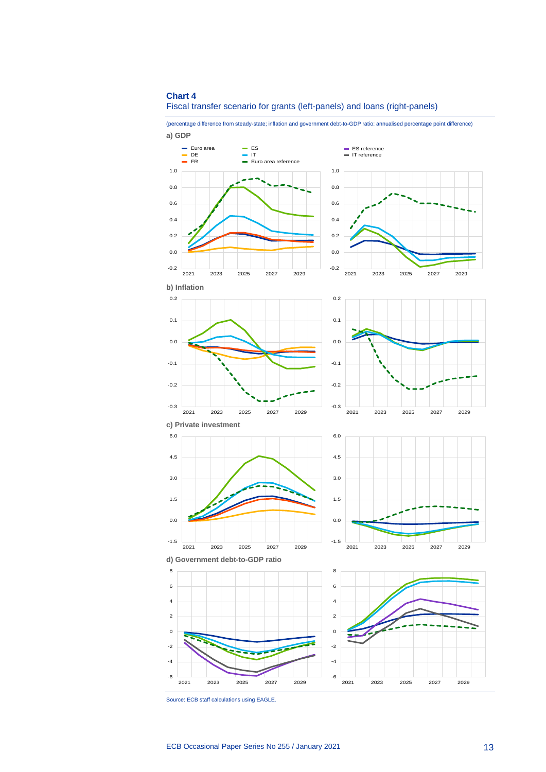### **Chart 4** Fiscal transfer scenario for grants (left-panels) and loans (right-panels)



2021 2023 2025 2027 2029 -6 -4 -2 0 2 4 2021 2023 2025 2027 2029

6

Source: ECB staff calculations using EAGLE.

-6 -4 -2 0 2 4 6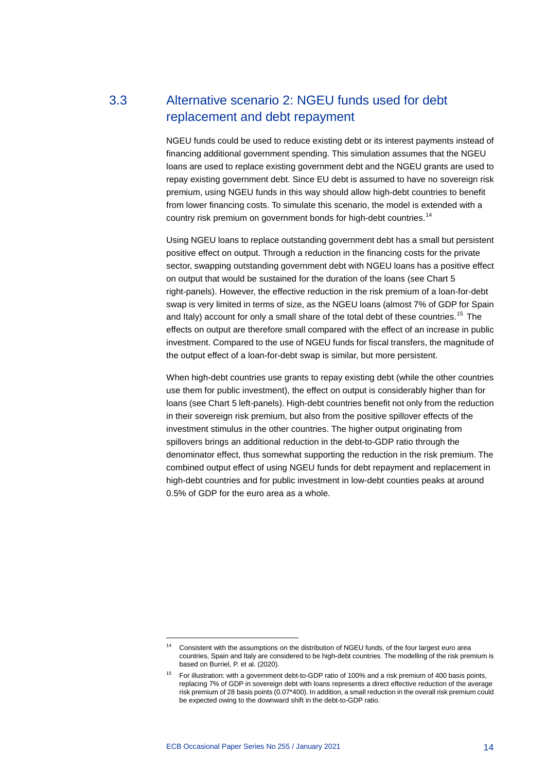### 3.3 Alternative scenario 2: NGEU funds used for debt replacement and debt repayment

<span id="page-14-0"></span>NGEU funds could be used to reduce existing debt or its interest payments instead of financing additional government spending. This simulation assumes that the NGEU loans are used to replace existing government debt and the NGEU grants are used to repay existing government debt. Since EU debt is assumed to have no sovereign risk premium, using NGEU funds in this way should allow high-debt countries to benefit from lower financing costs. To simulate this scenario, the model is extended with a country risk premium on government bonds for high-debt countries.<sup>[14](#page-14-1)</sup>

Using NGEU loans to replace outstanding government debt has a small but persistent positive effect on output. Through a reduction in the financing costs for the private sector, swapping outstanding government debt with NGEU loans has a positive effect on output that would be sustained for the duration of the loans (see Chart 5 right-panels). However, the effective reduction in the risk premium of a loan-for-debt swap is very limited in terms of size, as the NGEU loans (almost 7% of GDP for Spain and Italy) account for only a small share of the total debt of these countries.<sup>[15](#page-14-2)</sup> The effects on output are therefore small compared with the effect of an increase in public investment. Compared to the use of NGEU funds for fiscal transfers, the magnitude of the output effect of a loan-for-debt swap is similar, but more persistent.

When high-debt countries use grants to repay existing debt (while the other countries use them for public investment), the effect on output is considerably higher than for loans (see Chart 5 left-panels). High-debt countries benefit not only from the reduction in their sovereign risk premium, but also from the positive spillover effects of the investment stimulus in the other countries. The higher output originating from spillovers brings an additional reduction in the debt-to-GDP ratio through the denominator effect, thus somewhat supporting the reduction in the risk premium. The combined output effect of using NGEU funds for debt repayment and replacement in high-debt countries and for public investment in low-debt counties peaks at around 0.5% of GDP for the euro area as a whole.

<span id="page-14-1"></span>Consistent with the assumptions on the distribution of NGEU funds, of the four largest euro area countries, Spain and Italy are considered to be high-debt countries. The modelling of the risk premium is based on Burriel, P. et al. (2020).

<span id="page-14-2"></span><sup>15</sup> For illustration: with a government debt-to-GDP ratio of 100% and a risk premium of 400 basis points, replacing 7% of GDP in sovereign debt with loans represents a direct effective reduction of the average risk premium of 28 basis points (0.07\*400). In addition, a small reduction in the overall risk premium could be expected owing to the downward shift in the debt-to-GDP ratio.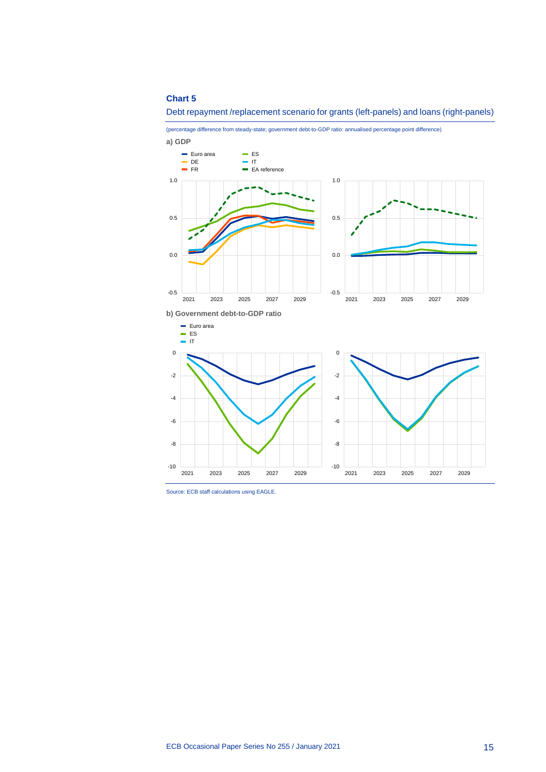### **Chart 5**



(percentage difference from steady-state; government debt-to-GDP ratio: annualised percentage point difference)



-10

2021 2023 2025 2027 2029

Source: ECB staff calculations using EAGLE.

2021 2023 2025 2027 2029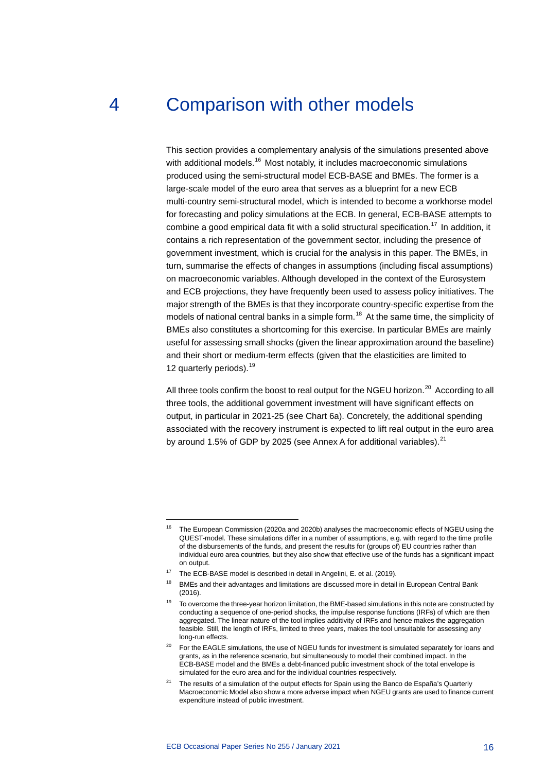# 4 Comparison with other models

<span id="page-16-0"></span>This section provides a complementary analysis of the simulations presented above with additional models.<sup>[16](#page-16-1)</sup> Most notably, it includes macroeconomic simulations produced using the semi-structural model ECB-BASE and BMEs. The former is a large-scale model of the euro area that serves as a blueprint for a new ECB multi-country semi-structural model, which is intended to become a workhorse model for forecasting and policy simulations at the ECB. In general, ECB-BASE attempts to combine a good empirical data fit with a solid structural specification.<sup>[17](#page-16-2)</sup> In addition, it contains a rich representation of the government sector, including the presence of government investment, which is crucial for the analysis in this paper. The BMEs, in turn, summarise the effects of changes in assumptions (including fiscal assumptions) on macroeconomic variables. Although developed in the context of the Eurosystem and ECB projections, they have frequently been used to assess policy initiatives. The major strength of the BMEs is that they incorporate country-specific expertise from the models of national central banks in a simple form.<sup>[18](#page-16-3)</sup> At the same time, the simplicity of BMEs also constitutes a shortcoming for this exercise. In particular BMEs are mainly useful for assessing small shocks (given the linear approximation around the baseline) and their short or medium-term effects (given that the elasticities are limited to 12 quarterly periods).<sup>[19](#page-16-4)</sup>

All three tools confirm the boost to real output for the NGEU horizon. $^{20}$  $^{20}$  $^{20}$  According to all three tools, the additional government investment will have significant effects on output, in particular in 2021-25 (see Chart 6a). Concretely, the additional spending associated with the recovery instrument is expected to lift real output in the euro area by around 1.5% of GDP by 2025 (see Annex A for additional variables).<sup>[21](#page-16-6)</sup>

<span id="page-16-1"></span><sup>&</sup>lt;sup>16</sup> The European Commission (2020a and 2020b) analyses the macroeconomic effects of NGEU using the QUEST-model. These simulations differ in a number of assumptions, e.g. with regard to the time profile of the disbursements of the funds, and present the results for (groups of) EU countries rather than individual euro area countries, but they also show that effective use of the funds has a significant impact on output.

<span id="page-16-2"></span><sup>&</sup>lt;sup>17</sup> The ECB-BASE model is described in detail in Angelini, E. et al. (2019).

<span id="page-16-3"></span><sup>&</sup>lt;sup>18</sup> BMEs and their advantages and limitations are discussed more in detail in European Central Bank (2016).

<span id="page-16-4"></span><sup>&</sup>lt;sup>19</sup> To overcome the three-year horizon limitation, the BME-based simulations in this note are constructed by conducting a sequence of one-period shocks, the impulse response functions (IRFs) of which are then aggregated. The linear nature of the tool implies additivity of IRFs and hence makes the aggregation feasible. Still, the length of IRFs, limited to three years, makes the tool unsuitable for assessing any long-run effects.

<span id="page-16-5"></span><sup>&</sup>lt;sup>20</sup> For the EAGLE simulations, the use of NGEU funds for investment is simulated separately for loans and grants, as in the reference scenario, but simultaneously to model their combined impact. In the ECB-BASE model and the BMEs a debt-financed public investment shock of the total envelope is simulated for the euro area and for the individual countries respectively.

<span id="page-16-6"></span> $21$  The results of a simulation of the output effects for Spain using the Banco de España's Quarterly Macroeconomic Model also show a more adverse impact when NGEU grants are used to finance current expenditure instead of public investment.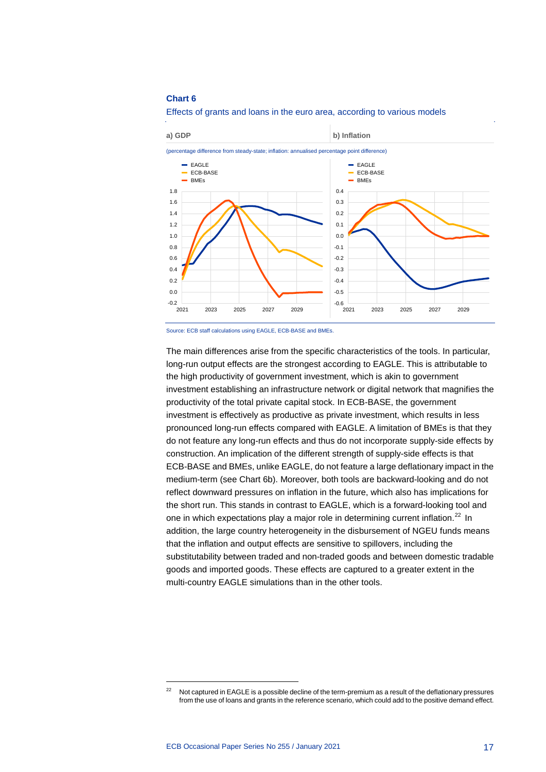### **Chart 6**





The main differences arise from the specific characteristics of the tools. In particular, long-run output effects are the strongest according to EAGLE. This is attributable to the high productivity of government investment, which is akin to government investment establishing an infrastructure network or digital network that magnifies the productivity of the total private capital stock. In ECB-BASE, the government investment is effectively as productive as private investment, which results in less pronounced long-run effects compared with EAGLE. A limitation of BMEs is that they do not feature any long-run effects and thus do not incorporate supply-side effects by construction. An implication of the different strength of supply-side effects is that ECB-BASE and BMEs, unlike EAGLE, do not feature a large deflationary impact in the medium-term (see Chart 6b). Moreover, both tools are backward-looking and do not reflect downward pressures on inflation in the future, which also has implications for the short run. This stands in contrast to EAGLE, which is a forward-looking tool and one in which expectations play a major role in determining current inflation.<sup>[22](#page-17-0)</sup> In addition, the large country heterogeneity in the disbursement of NGEU funds means that the inflation and output effects are sensitive to spillovers, including the substitutability between traded and non-traded goods and between domestic tradable goods and imported goods. These effects are captured to a greater extent in the multi-country EAGLE simulations than in the other tools.

Source: ECB staff calculations using EAGLE, ECB-BASE and BMEs.

<span id="page-17-0"></span><sup>&</sup>lt;sup>22</sup> Not captured in EAGLE is a possible decline of the term-premium as a result of the deflationary pressures from the use of loans and grants in the reference scenario, which could add to the positive demand effect.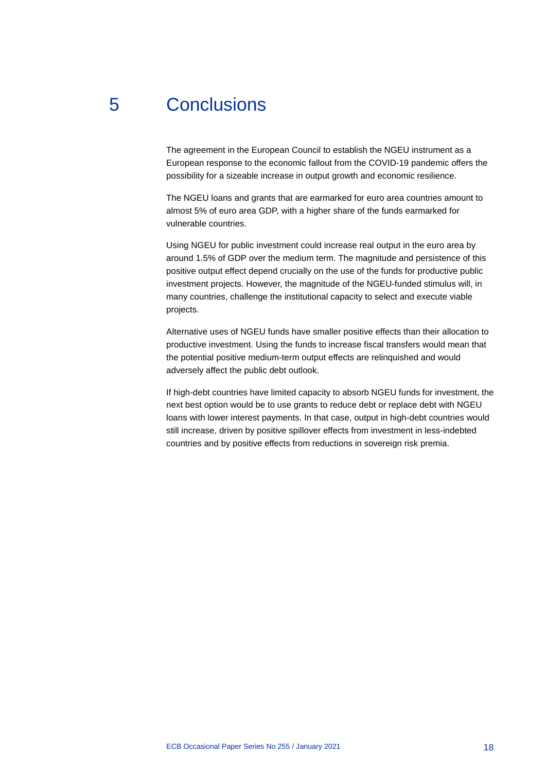# 5 Conclusions

<span id="page-18-0"></span>The agreement in the European Council to establish the NGEU instrument as a European response to the economic fallout from the COVID-19 pandemic offers the possibility for a sizeable increase in output growth and economic resilience.

The NGEU loans and grants that are earmarked for euro area countries amount to almost 5% of euro area GDP, with a higher share of the funds earmarked for vulnerable countries.

Using NGEU for public investment could increase real output in the euro area by around 1.5% of GDP over the medium term. The magnitude and persistence of this positive output effect depend crucially on the use of the funds for productive public investment projects. However, the magnitude of the NGEU-funded stimulus will, in many countries, challenge the institutional capacity to select and execute viable projects.

Alternative uses of NGEU funds have smaller positive effects than their allocation to productive investment. Using the funds to increase fiscal transfers would mean that the potential positive medium-term output effects are relinquished and would adversely affect the public debt outlook.

If high-debt countries have limited capacity to absorb NGEU funds for investment, the next best option would be to use grants to reduce debt or replace debt with NGEU loans with lower interest payments. In that case, output in high-debt countries would still increase, driven by positive spillover effects from investment in less-indebted countries and by positive effects from reductions in sovereign risk premia.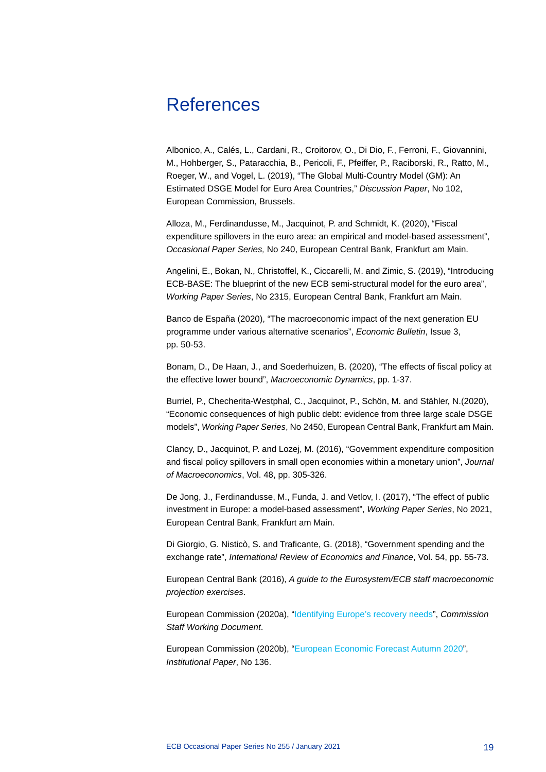## <span id="page-19-0"></span>References

Albonico, A., Calés, L., Cardani, R., Croitorov, O., Di Dio, F., Ferroni, F., Giovannini, M., Hohberger, S., Pataracchia, B., Pericoli, F., Pfeiffer, P., Raciborski, R., Ratto, M., Roeger, W., and Vogel, L. (2019), "The Global Multi-Country Model (GM): An Estimated DSGE Model for Euro Area Countries," *Discussion Paper*, No 102, European Commission, Brussels.

Alloza, M., Ferdinandusse, M., Jacquinot, P. and Schmidt, K. (2020), "Fiscal expenditure spillovers in the euro area: an empirical and model-based assessment", *Occasional Paper Series,* No 240, European Central Bank, Frankfurt am Main.

Angelini, E., Bokan, N., Christoffel, K., Ciccarelli, M. and Zimic, S. (2019), "Introducing ECB-BASE: The blueprint of the new ECB semi-structural model for the euro area", *Working Paper Series*, No 2315, European Central Bank, Frankfurt am Main.

Banco de España (2020), "The macroeconomic impact of the next generation EU programme under various alternative scenarios", *Economic Bulletin*, Issue 3, pp. 50-53.

Bonam, D., De Haan, J., and Soederhuizen, B. (2020), "The effects of fiscal policy at the effective lower bound", *Macroeconomic Dynamics*, pp. 1-37.

Burriel, P., Checherita-Westphal, C., Jacquinot, P., Schön, M. and Stähler, N.(2020), "Economic consequences of high public debt: evidence from three large scale DSGE models", *Working Paper Series*, No 2450, European Central Bank, Frankfurt am Main.

Clancy, D., Jacquinot, P. and Lozej, M. (2016), "Government expenditure composition and fiscal policy spillovers in small open economies within a monetary union", *Journal of Macroeconomics*, Vol. 48, pp. 305-326.

De Jong, J., Ferdinandusse, M., Funda, J. and Vetlov, I. (2017), "The effect of public investment in Europe: a model-based assessment", *Working Paper Series*, No 2021, European Central Bank, Frankfurt am Main.

Di Giorgio, G. Nisticò, S. and Traficante, G. (2018), "Government spending and the exchange rate", *International Review of Economics and Finance*, Vol. 54, pp. 55-73.

European Central Bank (2016), *A guide to the Eurosystem/ECB staff macroeconomic projection exercises*.

European Commission (2020a), ["Identifying Europe's recovery needs"](https://ec.europa.eu/info/sites/info/files/economy-finance/assessment_of_economic_and_investment_needs.pdf), *Commission Staff Working Document*.

European Commission (2020b), ["European Economic Forecast Autumn 2020"](https://ec.europa.eu/info/sites/info/files/economy-finance/ip136_en_2.pdf), *Institutional Paper*, No 136.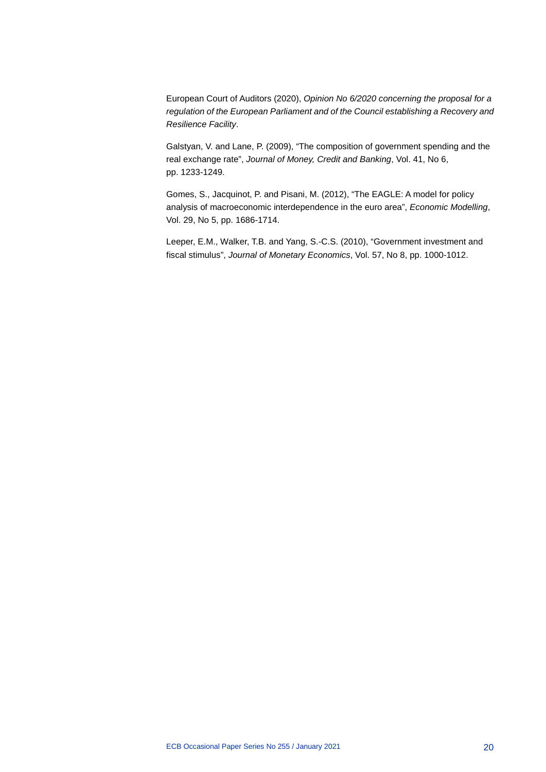European Court of Auditors (2020), *Opinion No 6/2020 concerning the proposal for a regulation of the European Parliament and of the Council establishing a Recovery and Resilience Facility*.

Galstyan, V. and Lane, P. (2009), "The composition of government spending and the real exchange rate", *Journal of Money, Credit and Banking*, Vol. 41, No 6, pp. 1233-1249.

Gomes, S., Jacquinot, P. and Pisani, M. (2012), "The EAGLE: A model for policy analysis of macroeconomic interdependence in the euro area", *Economic Modelling*, Vol. 29, No 5, pp. 1686-1714.

Leeper, E.M., Walker, T.B. and Yang, S.-C.S. (2010), "Government investment and fiscal stimulus", *Journal of Monetary Economics*, Vol. 57, No 8, pp. 1000-1012.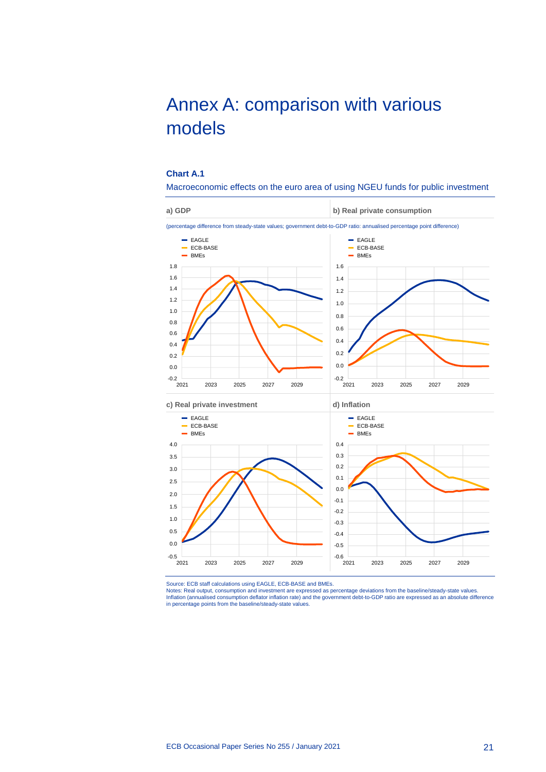# <span id="page-21-0"></span>Annex A: comparison with various models

### **Chart A.1**

Macroeconomic effects on the euro area of using NGEU funds for public investment



Source: ECB staff calculations using EAGLE, ECB-BASE and BMEs.

Notes: Real output, consumption and investment are expressed as percentage deviations from the baseline/steady-state values.<br>Inflation (annualised consumption deflator inflation rate) and the government debt-to-GDP ratio a in percentage points from the baseline/steady-state values.